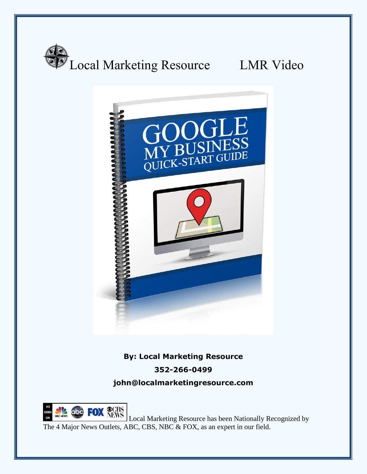





**By: Local Marketing Resource 352-266-0499**

**john@localmarketingresource.com**



**CON NEWS** Local Marketing Resource has been Nationally Recognized by The 4 Major News Outlets, ABC, CBS, NBC & FOX, as an expert in our field.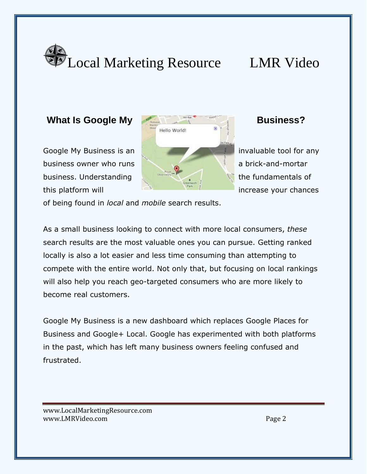



of being found in *local* and *mobile* search results.

As a small business looking to connect with more local consumers, *these*  search results are the most valuable ones you can pursue. Getting ranked locally is also a lot easier and less time consuming than attempting to compete with the entire world. Not only that, but focusing on local rankings will also help you reach geo-targeted consumers who are more likely to become real customers.

Google My Business is a new dashboard which replaces Google Places for Business and Google+ Local. Google has experimented with both platforms in the past, which has left many business owners feeling confused and frustrated.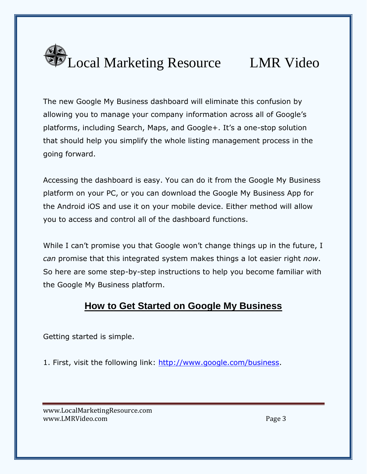

The new Google My Business dashboard will eliminate this confusion by allowing you to manage your company information across all of Google's platforms, including Search, Maps, and Google+. It's a one-stop solution that should help you simplify the whole listing management process in the going forward.

Accessing the dashboard is easy. You can do it from the Google My Business platform on your PC, or you can download the Google My Business App for the Android iOS and use it on your mobile device. Either method will allow you to access and control all of the dashboard functions.

While I can't promise you that Google won't change things up in the future, I *can* promise that this integrated system makes things a lot easier right *now*. So here are some step-by-step instructions to help you become familiar with the Google My Business platform.

# **How to Get Started on Google My Business**

Getting started is simple.

1. First, visit the following link: [http://www.google.com/business.](http://www.google.com/business)

www.LocalMarketingResource.com www.LMRVideo.com and the settlement of the settlement of the settlement of the settlement of the settlement of the settlement of the settlement of the settlement of the settlement of the settlement of the settlement of the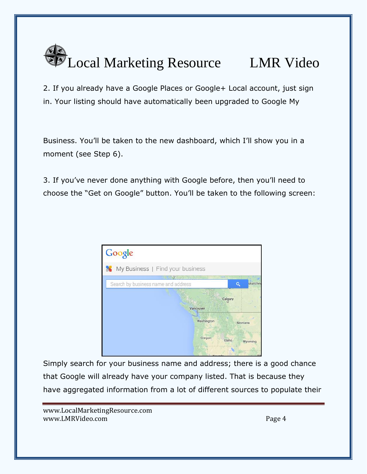

2. If you already have a Google Places or Google+ Local account, just sign in. Your listing should have automatically been upgraded to Google My

Business. You'll be taken to the new dashboard, which I'll show you in a moment (see Step 6).

3. If you've never done anything with Google before, then you'll need to choose the "Get on Google" button. You'll be taken to the following screen:



Simply search for your business name and address; there is a good chance that Google will already have your company listed. That is because they have aggregated information from a lot of different sources to populate their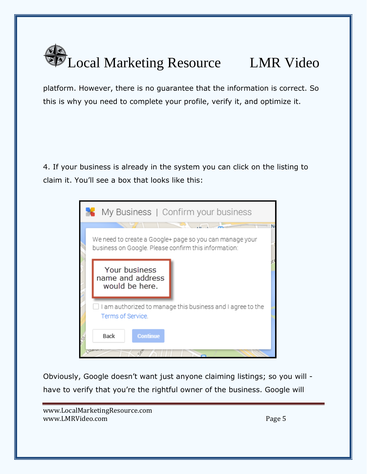

platform. However, there is no guarantee that the information is correct. So this is why you need to complete your profile, verify it, and optimize it.

4. If your business is already in the system you can click on the listing to claim it. You'll see a box that looks like this:



Obviously, Google doesn't want just anyone claiming listings; so you will have to verify that you're the rightful owner of the business. Google will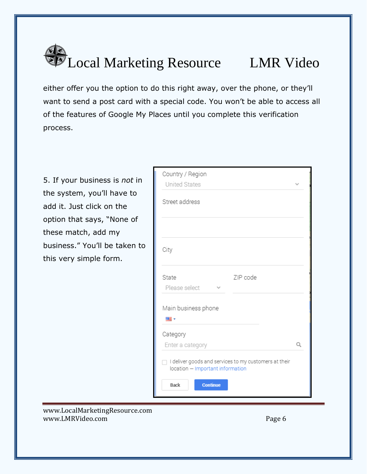# Local Marketing Resource LMR Video

either offer you the option to do this right away, over the phone, or they'll want to send a post card with a special code. You won't be able to access all of the features of Google My Places until you complete this verification process.

5. If your business is *not* in the system, you'll have to add it. Just click on the option that says, "None of these match, add my business." You'll be taken to this very simple form.

| Country / Region<br><b>United States</b>                                                  |   |
|-------------------------------------------------------------------------------------------|---|
| Street address                                                                            |   |
|                                                                                           |   |
| City                                                                                      |   |
| State<br>ZIP code<br>Please select                                                        |   |
| Main business phone<br>羅→                                                                 |   |
| Category<br>Enter a category                                                              | Q |
| I deliver goods and services to my customers at their<br>location - Important information |   |
| Back<br><b>Continue</b>                                                                   |   |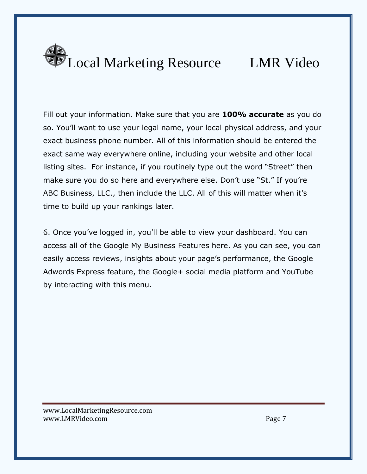

Fill out your information. Make sure that you are **100% accurate** as you do so. You'll want to use your legal name, your local physical address, and your exact business phone number. All of this information should be entered the exact same way everywhere online, including your website and other local listing sites. For instance, if you routinely type out the word "Street" then make sure you do so here and everywhere else. Don't use "St." If you're ABC Business, LLC., then include the LLC. All of this will matter when it's time to build up your rankings later.

6. Once you've logged in, you'll be able to view your dashboard. You can access all of the Google My Business Features here. As you can see, you can easily access reviews, insights about your page's performance, the Google Adwords Express feature, the Google+ social media platform and YouTube by interacting with this menu.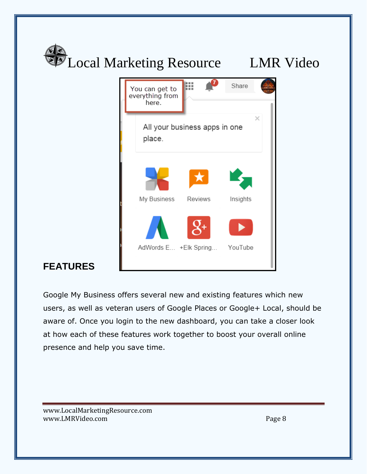

Google My Business offers several new and existing features which new users, as well as veteran users of Google Places or Google+ Local, should be aware of. Once you login to the new dashboard, you can take a closer look at how each of these features work together to boost your overall online presence and help you save time.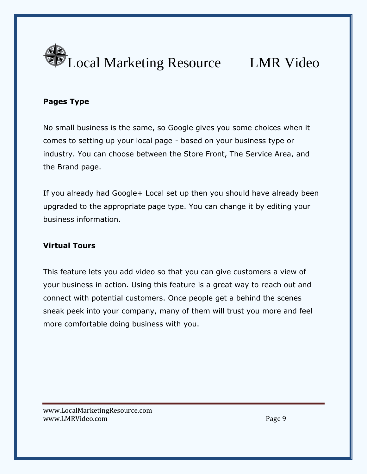

### **Pages Type**

No small business is the same, so Google gives you some choices when it comes to setting up your local page - based on your business type or industry. You can choose between the Store Front, The Service Area, and the Brand page.

If you already had Google+ Local set up then you should have already been upgraded to the appropriate page type. You can change it by editing your business information.

### **Virtual Tours**

This feature lets you add video so that you can give customers a view of your business in action. Using this feature is a great way to reach out and connect with potential customers. Once people get a behind the scenes sneak peek into your company, many of them will trust you more and feel more comfortable doing business with you.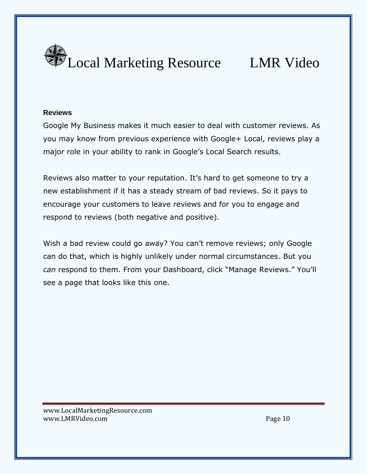

### **Reviews**

Google My Business makes it much easier to deal with customer reviews. As you may know from previous experience with Google+ Local, reviews play a major role in your ability to rank in Google's Local Search results.

Reviews also matter to your reputation. It's hard to get someone to try a new establishment if it has a steady stream of bad reviews. So it pays to encourage your customers to leave reviews and for you to engage and respond to reviews (both negative and positive).

Wish a bad review could go away? You can't remove reviews; only Google can do that, which is highly unlikely under normal circumstances. But you *can* respond to them. From your Dashboard, click "Manage Reviews." You'll see a page that looks like this one.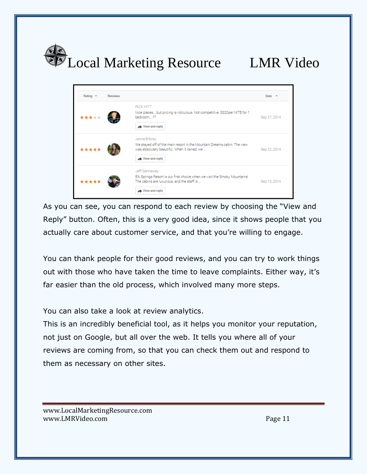



As you can see, you can respond to each review by choosing the "View and Reply" button. Often, this is a very good idea, since it shows people that you actually care about customer service, and that you're willing to engage.

You can thank people for their good reviews, and you can try to work things out with those who have taken the time to leave complaints. Either way, it's far easier than the old process, which involved many more steps.

You can also take a look at review analytics.

This is an incredibly beneficial tool, as it helps you monitor your reputation, not just on Google, but all over the web. It tells you where all of your reviews are coming from, so that you can check them out and respond to them as necessary on other sites.

www.LocalMarketingResource.com www.LMRVideo.com and the state of the state of the page 11 and the page 11 and the page 11 and the page 11 and the page 11 and the page 11 and the page 11 and the page 11 and the page 11 and the page 11 and the page 11 and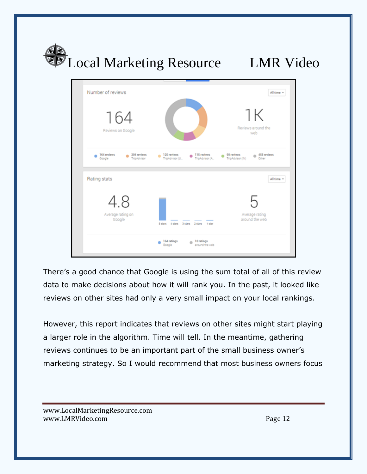

There's a good chance that Google is using the sum total of all of this review data to make decisions about how it will rank you. In the past, it looked like reviews on other sites had only a very small impact on your local rankings.

However, this report indicates that reviews on other sites might start playing a larger role in the algorithm. Time will tell. In the meantime, gathering reviews continues to be an important part of the small business owner's marketing strategy. So I would recommend that most business owners focus

www.LocalMarketingResource.com www.LMRVideo.com and the community of the community of the community of the community of the community of the community of the community of the community of the community of the community of the community of the community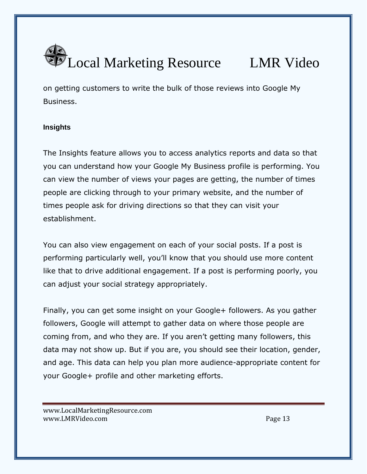

on getting customers to write the bulk of those reviews into Google My Business.

### **Insights**

The Insights feature allows you to access analytics reports and data so that you can understand how your Google My Business profile is performing. You can view the number of views your pages are getting, the number of times people are clicking through to your primary website, and the number of times people ask for driving directions so that they can visit your establishment.

You can also view engagement on each of your social posts. If a post is performing particularly well, you'll know that you should use more content like that to drive additional engagement. If a post is performing poorly, you can adjust your social strategy appropriately.

Finally, you can get some insight on your Google+ followers. As you gather followers, Google will attempt to gather data on where those people are coming from, and who they are. If you aren't getting many followers, this data may not show up. But if you are, you should see their location, gender, and age. This data can help you plan more audience-appropriate content for your Google+ profile and other marketing efforts.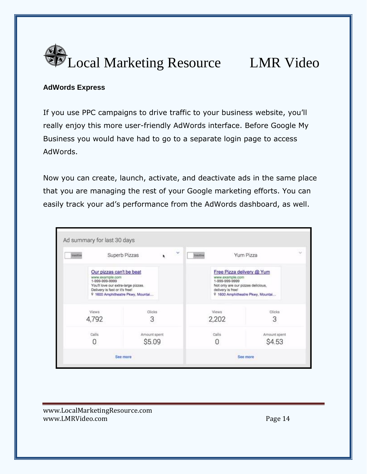

### **AdWords Express**

If you use PPC campaigns to drive traffic to your business website, you'll really enjoy this more user-friendly AdWords interface. Before Google My Business you would have had to go to a separate login page to access AdWords.

Now you can create, launch, activate, and deactivate ads in the same place that you are managing the rest of your Google marketing efforts. You can easily track your ad's performance from the AdWords dashboard, as well.

| Inactive                                    | Superb Pizzas<br>Our pizzas can't be beat<br>www.example.com<br>1-999-999-9999<br>You'll love our extra-large pizzas,<br>Delivery is fast or it's free!<br>9 1600 Amphitheatre Pkwy, Mountai |  |  | ×              | Inactive |                                                                                                                           | Yum Pizza                         | $\sim$ |
|---------------------------------------------|----------------------------------------------------------------------------------------------------------------------------------------------------------------------------------------------|--|--|----------------|----------|---------------------------------------------------------------------------------------------------------------------------|-----------------------------------|--------|
|                                             |                                                                                                                                                                                              |  |  |                |          | Free Pizza delivery @ Yum<br>www.example.com<br>1-999-999-9999<br>Not only are our pizzas delicious,<br>delivery is free! | 9 1600 Amphitheatre Pkwy, Mountai |        |
| Clicks<br>Views<br>3<br>4,792               |                                                                                                                                                                                              |  |  | Views<br>2,202 |          | Clicks<br>3                                                                                                               |                                   |        |
| Calls<br>Amount spent<br><b>\$5.09</b><br>U |                                                                                                                                                                                              |  |  | Calls          |          | Amount spent<br><b>S4.53</b>                                                                                              |                                   |        |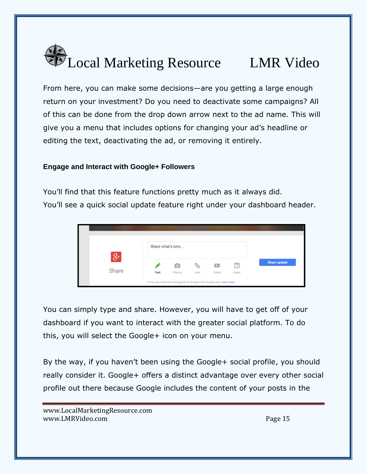

From here, you can make some decisions—are you getting a large enough return on your investment? Do you need to deactivate some campaigns? All of this can be done from the drop down arrow next to the ad name. This will give you a menu that includes options for changing your ad's headline or editing the text, deactivating the ad, or removing it entirely.

### **Engage and Interact with Google+ Followers**

You'll find that this feature functions pretty much as it always did. You'll see a quick social update feature right under your dashboard header.



You can simply type and share. However, you will have to get off of your dashboard if you want to interact with the greater social platform. To do this, you will select the Google+ icon on your menu.

By the way, if you haven't been using the Google+ social profile, you should really consider it. Google+ offers a distinct advantage over every other social profile out there because Google includes the content of your posts in the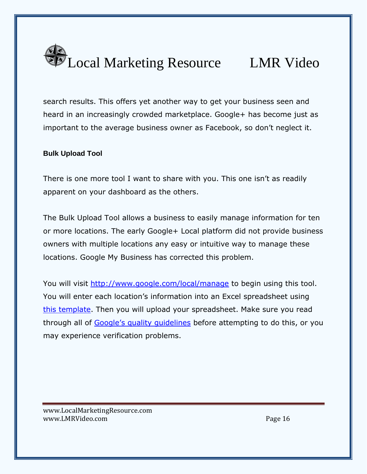

search results. This offers yet another way to get your business seen and heard in an increasingly crowded marketplace. Google+ has become just as important to the average business owner as Facebook, so don't neglect it.

### **Bulk Upload Tool**

There is one more tool I want to share with you. This one isn't as readily apparent on your dashboard as the others.

The Bulk Upload Tool allows a business to easily manage information for ten or more locations. The early Google+ Local platform did not provide business owners with multiple locations any easy or intuitive way to manage these locations. Google My Business has corrected this problem.

You will visit <http://www.google.com/local/manage> to begin using this tool. You will enter each location's information into an Excel spreadsheet using [this template.](https://docs.google.com/a/google.com/spreadsheet/ccc?key=0AtAMaLBhiYxedHRucWhlVUxNZ0QwOUJJSDFwbDRkd2c#gid=0) Then you will upload your spreadsheet. Make sure you read through all of [Google's quality guidelines](https://support.google.com/business/answer/3038177) before attempting to do this, or you may experience verification problems.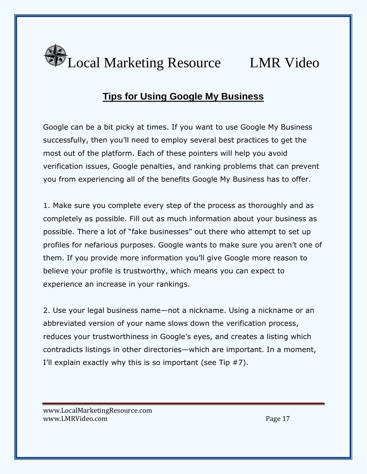

# **Tips for Using Google My Business**

Google can be a bit picky at times. If you want to use Google My Business successfully, then you'll need to employ several best practices to get the most out of the platform. Each of these pointers will help you avoid verification issues, Google penalties, and ranking problems that can prevent you from experiencing all of the benefits Google My Business has to offer.

1. Make sure you complete every step of the process as thoroughly and as completely as possible. Fill out as much information about your business as possible. There a lot of "fake businesses" out there who attempt to set up profiles for nefarious purposes. Google wants to make sure you aren't one of them. If you provide more information you'll give Google more reason to believe your profile is trustworthy, which means you can expect to experience an increase in your rankings.

2. Use your legal business name—not a nickname. Using a nickname or an abbreviated version of your name slows down the verification process, reduces your trustworthiness in Google's eyes, and creates a listing which contradicts listings in other directories—which are important. In a moment, I'll explain exactly why this is so important (see Tip #7).

www.LocalMarketingResource.com www.LMRVideo.com and the state of the state of the state of the page 17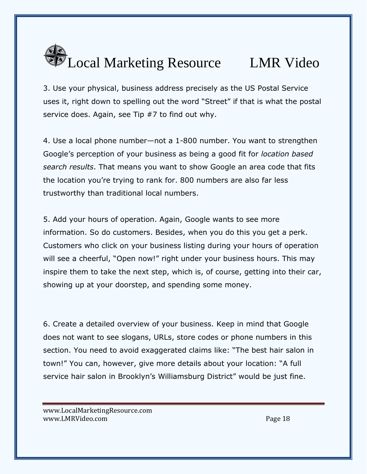

3. Use your physical, business address precisely as the US Postal Service uses it, right down to spelling out the word "Street" if that is what the postal service does. Again, see Tip #7 to find out why.

4. Use a local phone number—not a 1-800 number. You want to strengthen Google's perception of your business as being a good fit for *location based search results*. That means you want to show Google an area code that fits the location you're trying to rank for. 800 numbers are also far less trustworthy than traditional local numbers.

5. Add your hours of operation. Again, Google wants to see more information. So do customers. Besides, when you do this you get a perk. Customers who click on your business listing during your hours of operation will see a cheerful, "Open now!" right under your business hours. This may inspire them to take the next step, which is, of course, getting into their car, showing up at your doorstep, and spending some money.

6. Create a detailed overview of your business. Keep in mind that Google does not want to see slogans, URLs, store codes or phone numbers in this section. You need to avoid exaggerated claims like: "The best hair salon in town!" You can, however, give more details about your location: "A full service hair salon in Brooklyn's Williamsburg District" would be just fine.

www.LocalMarketingResource.com www.LMRVideo.com and the state of the state of the state of the state of the state of the state of the state o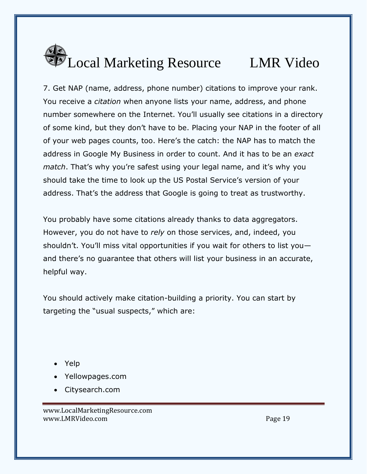

7. Get NAP (name, address, phone number) citations to improve your rank. You receive a *citation* when anyone lists your name, address, and phone number somewhere on the Internet. You'll usually see citations in a directory of some kind, but they don't have to be. Placing your NAP in the footer of all of your web pages counts, too. Here's the catch: the NAP has to match the address in Google My Business in order to count. And it has to be an *exact match*. That's why you're safest using your legal name, and it's why you should take the time to look up the US Postal Service's version of your address. That's the address that Google is going to treat as trustworthy.

You probably have some citations already thanks to data aggregators. However, you do not have to *rely* on those services, and, indeed, you shouldn't. You'll miss vital opportunities if you wait for others to list you and there's no guarantee that others will list your business in an accurate, helpful way.

You should actively make citation-building a priority. You can start by targeting the "usual suspects," which are:

- Yelp
- Yellowpages.com
- Citysearch.com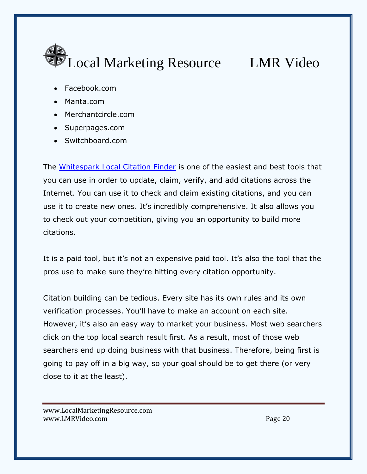

- Facebook.com
- Manta.com
- Merchantcircle.com
- Superpages.com
- Switchboard.com

The [Whitespark Local Citation Finder](https://www.whitespark.ca/local-citation-finder) is one of the easiest and best tools that you can use in order to update, claim, verify, and add citations across the Internet. You can use it to check and claim existing citations, and you can use it to create new ones. It's incredibly comprehensive. It also allows you to check out your competition, giving you an opportunity to build more citations.

It is a paid tool, but it's not an expensive paid tool. It's also the tool that the pros use to make sure they're hitting every citation opportunity.

Citation building can be tedious. Every site has its own rules and its own verification processes. You'll have to make an account on each site. However, it's also an easy way to market your business. Most web searchers click on the top local search result first. As a result, most of those web searchers end up doing business with that business. Therefore, being first is going to pay off in a big way, so your goal should be to get there (or very close to it at the least).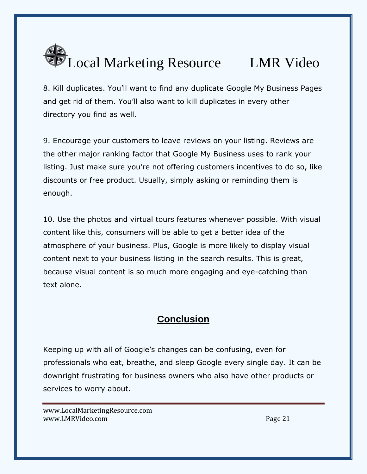

8. Kill duplicates. You'll want to find any duplicate Google My Business Pages and get rid of them. You'll also want to kill duplicates in every other directory you find as well.

9. Encourage your customers to leave reviews on your listing. Reviews are the other major ranking factor that Google My Business uses to rank your listing. Just make sure you're not offering customers incentives to do so, like discounts or free product. Usually, simply asking or reminding them is enough.

10. Use the photos and virtual tours features whenever possible. With visual content like this, consumers will be able to get a better idea of the atmosphere of your business. Plus, Google is more likely to display visual content next to your business listing in the search results. This is great, because visual content is so much more engaging and eye-catching than text alone.

# **Conclusion**

Keeping up with all of Google's changes can be confusing, even for professionals who eat, breathe, and sleep Google every single day. It can be downright frustrating for business owners who also have other products or services to worry about.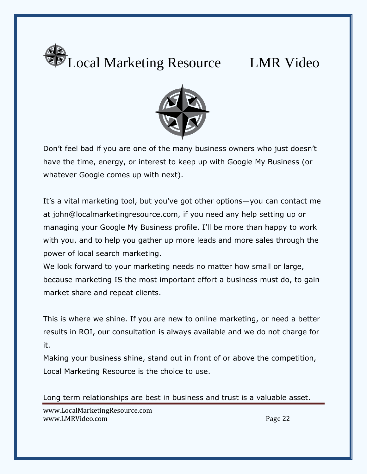



Don't feel bad if you are one of the many business owners who just doesn't have the time, energy, or interest to keep up with Google My Business (or whatever Google comes up with next).

It's a vital marketing tool, but you've got other options—you can contact me at john@localmarketingresource.com, if you need any help setting up or managing your Google My Business profile. I'll be more than happy to work with you, and to help you gather up more leads and more sales through the power of local search marketing.

We look forward to your marketing needs no matter how small or large, because marketing IS the most important effort a business must do, to gain market share and repeat clients.

This is where we shine. If you are new to online marketing, or need a better results in ROI, our consultation is always available and we do not charge for it.

Making your business shine, stand out in front of or above the competition, Local Marketing Resource is the choice to use.

Long term relationships are best in business and trust is a valuable asset.